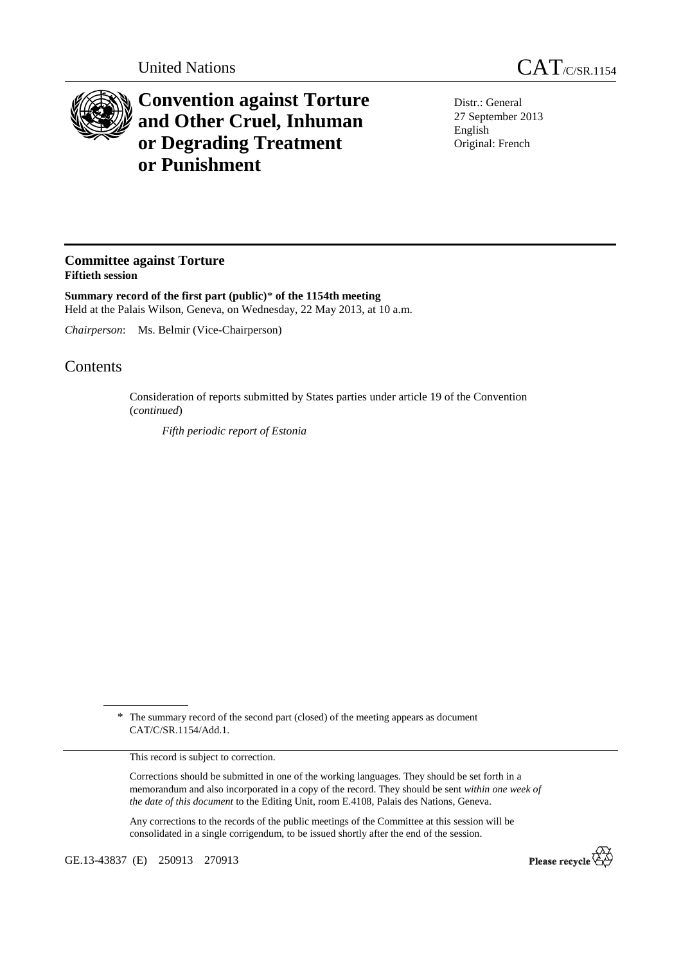

## **Convention against Torture and Other Cruel, Inhuman or Degrading Treatment or Punishment**

Distr.: General 27 September 2013 English Original: French

## **Committee against Torture Fiftieth session**

**Summary record of the first part (public)**\* **of the 1154th meeting**  Held at the Palais Wilson, Geneva, on Wednesday, 22 May 2013, at 10 a.m.

*Chairperson*: Ms. Belmir (Vice-Chairperson)

## **Contents**

Consideration of reports submitted by States parties under article 19 of the Convention (*continued*)

*Fifth periodic report of Estonia* 

This record is subject to correction.

Corrections should be submitted in one of the working languages. They should be set forth in a memorandum and also incorporated in a copy of the record. They should be sent *within one week of the date of this document* to the Editing Unit, room E.4108, Palais des Nations, Geneva.

Any corrections to the records of the public meetings of the Committee at this session will be consolidated in a single corrigendum, to be issued shortly after the end of the session.

GE.13-43837 (E) 250913 270913



<sup>\*</sup> The summary record of the second part (closed) of the meeting appears as document CAT/C/SR.1154/Add.1.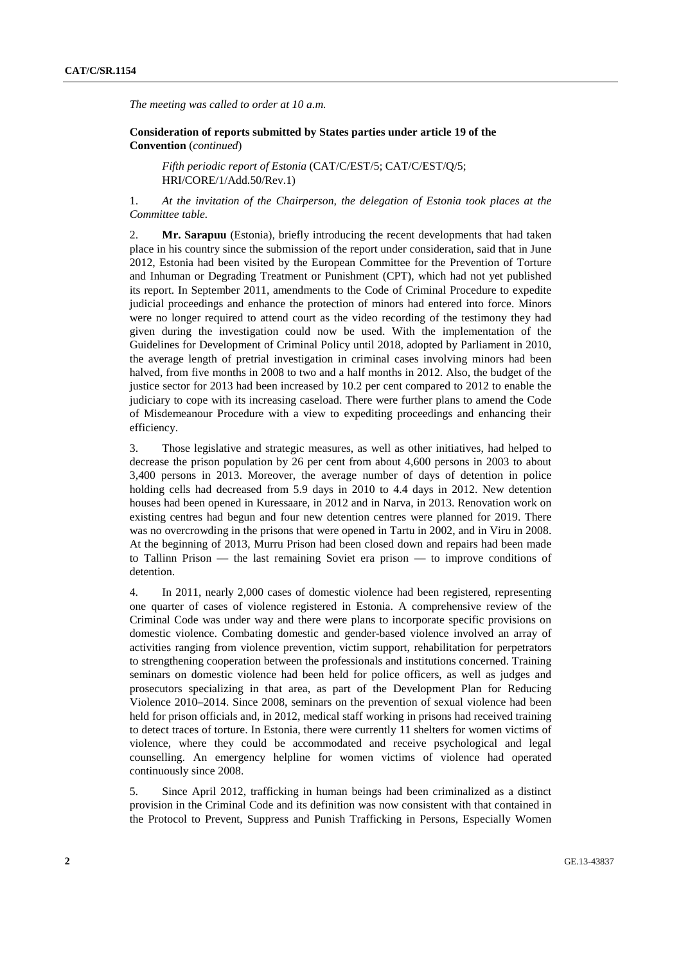*The meeting was called to order at 10 a.m.* 

 **Consideration of reports submitted by States parties under article 19 of the Convention** (*continued*)

*Fifth periodic report of Estonia* (CAT/C/EST/5; CAT/C/EST/Q/5; HRI/CORE/1/Add.50/Rev.1)

1. *At the invitation of the Chairperson, the delegation of Estonia took places at the Committee table.* 

2. **Mr. Sarapuu** (Estonia), briefly introducing the recent developments that had taken place in his country since the submission of the report under consideration, said that in June 2012, Estonia had been visited by the European Committee for the Prevention of Torture and Inhuman or Degrading Treatment or Punishment (CPT), which had not yet published its report. In September 2011, amendments to the Code of Criminal Procedure to expedite judicial proceedings and enhance the protection of minors had entered into force. Minors were no longer required to attend court as the video recording of the testimony they had given during the investigation could now be used. With the implementation of the Guidelines for Development of Criminal Policy until 2018, adopted by Parliament in 2010, the average length of pretrial investigation in criminal cases involving minors had been halved, from five months in 2008 to two and a half months in 2012. Also, the budget of the justice sector for 2013 had been increased by 10.2 per cent compared to 2012 to enable the judiciary to cope with its increasing caseload. There were further plans to amend the Code of Misdemeanour Procedure with a view to expediting proceedings and enhancing their efficiency.

3. Those legislative and strategic measures, as well as other initiatives, had helped to decrease the prison population by 26 per cent from about 4,600 persons in 2003 to about 3,400 persons in 2013. Moreover, the average number of days of detention in police holding cells had decreased from 5.9 days in 2010 to 4.4 days in 2012. New detention houses had been opened in Kuressaare, in 2012 and in Narva, in 2013. Renovation work on existing centres had begun and four new detention centres were planned for 2019. There was no overcrowding in the prisons that were opened in Tartu in 2002, and in Viru in 2008. At the beginning of 2013, Murru Prison had been closed down and repairs had been made to Tallinn Prison — the last remaining Soviet era prison — to improve conditions of detention.

4. In 2011, nearly 2,000 cases of domestic violence had been registered, representing one quarter of cases of violence registered in Estonia. A comprehensive review of the Criminal Code was under way and there were plans to incorporate specific provisions on domestic violence. Combating domestic and gender-based violence involved an array of activities ranging from violence prevention, victim support, rehabilitation for perpetrators to strengthening cooperation between the professionals and institutions concerned. Training seminars on domestic violence had been held for police officers, as well as judges and prosecutors specializing in that area, as part of the Development Plan for Reducing Violence 2010–2014. Since 2008, seminars on the prevention of sexual violence had been held for prison officials and, in 2012, medical staff working in prisons had received training to detect traces of torture. In Estonia, there were currently 11 shelters for women victims of violence, where they could be accommodated and receive psychological and legal counselling. An emergency helpline for women victims of violence had operated continuously since 2008.

5. Since April 2012, trafficking in human beings had been criminalized as a distinct provision in the Criminal Code and its definition was now consistent with that contained in the Protocol to Prevent, Suppress and Punish Trafficking in Persons, Especially Women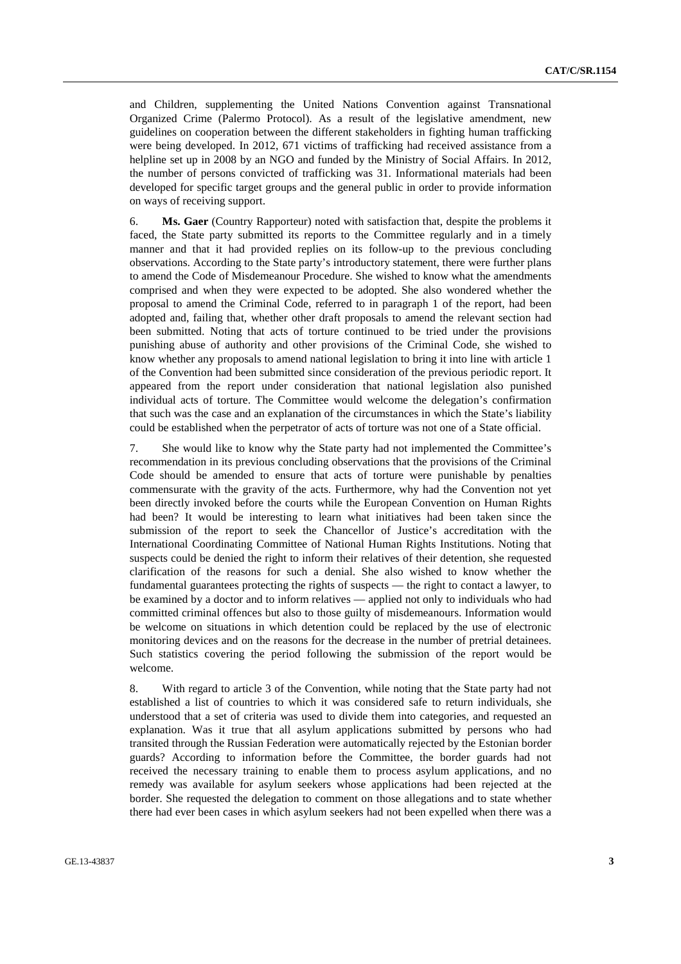and Children, supplementing the United Nations Convention against Transnational Organized Crime (Palermo Protocol). As a result of the legislative amendment, new guidelines on cooperation between the different stakeholders in fighting human trafficking were being developed. In 2012, 671 victims of trafficking had received assistance from a helpline set up in 2008 by an NGO and funded by the Ministry of Social Affairs. In 2012, the number of persons convicted of trafficking was 31. Informational materials had been developed for specific target groups and the general public in order to provide information on ways of receiving support.

6. **Ms. Gaer** (Country Rapporteur) noted with satisfaction that, despite the problems it faced, the State party submitted its reports to the Committee regularly and in a timely manner and that it had provided replies on its follow-up to the previous concluding observations. According to the State party's introductory statement, there were further plans to amend the Code of Misdemeanour Procedure. She wished to know what the amendments comprised and when they were expected to be adopted. She also wondered whether the proposal to amend the Criminal Code, referred to in paragraph 1 of the report, had been adopted and, failing that, whether other draft proposals to amend the relevant section had been submitted. Noting that acts of torture continued to be tried under the provisions punishing abuse of authority and other provisions of the Criminal Code, she wished to know whether any proposals to amend national legislation to bring it into line with article 1 of the Convention had been submitted since consideration of the previous periodic report. It appeared from the report under consideration that national legislation also punished individual acts of torture. The Committee would welcome the delegation's confirmation that such was the case and an explanation of the circumstances in which the State's liability could be established when the perpetrator of acts of torture was not one of a State official.

7. She would like to know why the State party had not implemented the Committee's recommendation in its previous concluding observations that the provisions of the Criminal Code should be amended to ensure that acts of torture were punishable by penalties commensurate with the gravity of the acts. Furthermore, why had the Convention not yet been directly invoked before the courts while the European Convention on Human Rights had been? It would be interesting to learn what initiatives had been taken since the submission of the report to seek the Chancellor of Justice's accreditation with the International Coordinating Committee of National Human Rights Institutions. Noting that suspects could be denied the right to inform their relatives of their detention, she requested clarification of the reasons for such a denial. She also wished to know whether the fundamental guarantees protecting the rights of suspects — the right to contact a lawyer, to be examined by a doctor and to inform relatives — applied not only to individuals who had committed criminal offences but also to those guilty of misdemeanours. Information would be welcome on situations in which detention could be replaced by the use of electronic monitoring devices and on the reasons for the decrease in the number of pretrial detainees. Such statistics covering the period following the submission of the report would be welcome.

8. With regard to article 3 of the Convention, while noting that the State party had not established a list of countries to which it was considered safe to return individuals, she understood that a set of criteria was used to divide them into categories, and requested an explanation. Was it true that all asylum applications submitted by persons who had transited through the Russian Federation were automatically rejected by the Estonian border guards? According to information before the Committee, the border guards had not received the necessary training to enable them to process asylum applications, and no remedy was available for asylum seekers whose applications had been rejected at the border. She requested the delegation to comment on those allegations and to state whether there had ever been cases in which asylum seekers had not been expelled when there was a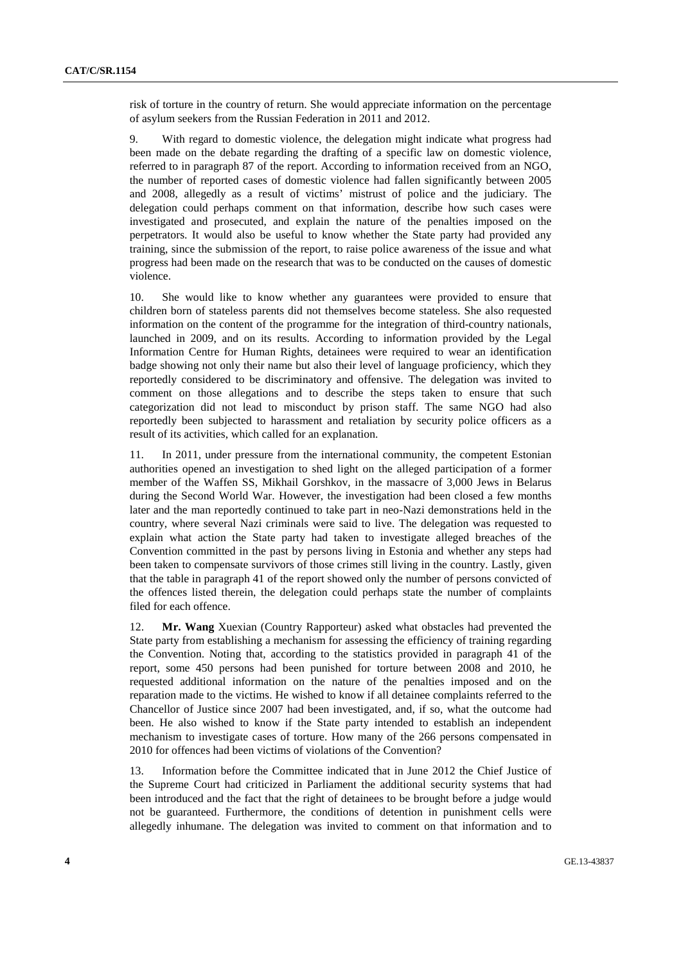risk of torture in the country of return. She would appreciate information on the percentage of asylum seekers from the Russian Federation in 2011 and 2012.

9. With regard to domestic violence, the delegation might indicate what progress had been made on the debate regarding the drafting of a specific law on domestic violence, referred to in paragraph 87 of the report. According to information received from an NGO, the number of reported cases of domestic violence had fallen significantly between 2005 and 2008, allegedly as a result of victims' mistrust of police and the judiciary. The delegation could perhaps comment on that information, describe how such cases were investigated and prosecuted, and explain the nature of the penalties imposed on the perpetrators. It would also be useful to know whether the State party had provided any training, since the submission of the report, to raise police awareness of the issue and what progress had been made on the research that was to be conducted on the causes of domestic violence.

10. She would like to know whether any guarantees were provided to ensure that children born of stateless parents did not themselves become stateless. She also requested information on the content of the programme for the integration of third-country nationals, launched in 2009, and on its results. According to information provided by the Legal Information Centre for Human Rights, detainees were required to wear an identification badge showing not only their name but also their level of language proficiency, which they reportedly considered to be discriminatory and offensive. The delegation was invited to comment on those allegations and to describe the steps taken to ensure that such categorization did not lead to misconduct by prison staff. The same NGO had also reportedly been subjected to harassment and retaliation by security police officers as a result of its activities, which called for an explanation.

11. In 2011, under pressure from the international community, the competent Estonian authorities opened an investigation to shed light on the alleged participation of a former member of the Waffen SS, Mikhail Gorshkov, in the massacre of 3,000 Jews in Belarus during the Second World War. However, the investigation had been closed a few months later and the man reportedly continued to take part in neo-Nazi demonstrations held in the country, where several Nazi criminals were said to live. The delegation was requested to explain what action the State party had taken to investigate alleged breaches of the Convention committed in the past by persons living in Estonia and whether any steps had been taken to compensate survivors of those crimes still living in the country. Lastly, given that the table in paragraph 41 of the report showed only the number of persons convicted of the offences listed therein, the delegation could perhaps state the number of complaints filed for each offence.

12. **Mr. Wang** Xuexian (Country Rapporteur) asked what obstacles had prevented the State party from establishing a mechanism for assessing the efficiency of training regarding the Convention. Noting that, according to the statistics provided in paragraph 41 of the report, some 450 persons had been punished for torture between 2008 and 2010, he requested additional information on the nature of the penalties imposed and on the reparation made to the victims. He wished to know if all detainee complaints referred to the Chancellor of Justice since 2007 had been investigated, and, if so, what the outcome had been. He also wished to know if the State party intended to establish an independent mechanism to investigate cases of torture. How many of the 266 persons compensated in 2010 for offences had been victims of violations of the Convention?

13. Information before the Committee indicated that in June 2012 the Chief Justice of the Supreme Court had criticized in Parliament the additional security systems that had been introduced and the fact that the right of detainees to be brought before a judge would not be guaranteed. Furthermore, the conditions of detention in punishment cells were allegedly inhumane. The delegation was invited to comment on that information and to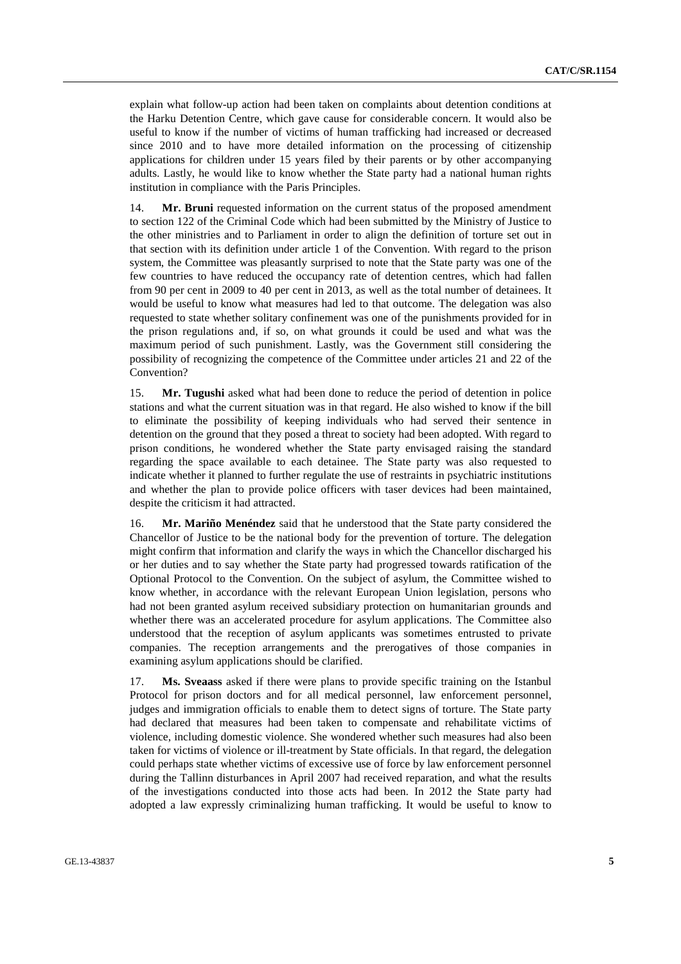explain what follow-up action had been taken on complaints about detention conditions at the Harku Detention Centre, which gave cause for considerable concern. It would also be useful to know if the number of victims of human trafficking had increased or decreased since 2010 and to have more detailed information on the processing of citizenship applications for children under 15 years filed by their parents or by other accompanying adults. Lastly, he would like to know whether the State party had a national human rights institution in compliance with the Paris Principles.

14. **Mr. Bruni** requested information on the current status of the proposed amendment to section 122 of the Criminal Code which had been submitted by the Ministry of Justice to the other ministries and to Parliament in order to align the definition of torture set out in that section with its definition under article 1 of the Convention. With regard to the prison system, the Committee was pleasantly surprised to note that the State party was one of the few countries to have reduced the occupancy rate of detention centres, which had fallen from 90 per cent in 2009 to 40 per cent in 2013, as well as the total number of detainees. It would be useful to know what measures had led to that outcome. The delegation was also requested to state whether solitary confinement was one of the punishments provided for in the prison regulations and, if so, on what grounds it could be used and what was the maximum period of such punishment. Lastly, was the Government still considering the possibility of recognizing the competence of the Committee under articles 21 and 22 of the Convention?

15. **Mr. Tugushi** asked what had been done to reduce the period of detention in police stations and what the current situation was in that regard. He also wished to know if the bill to eliminate the possibility of keeping individuals who had served their sentence in detention on the ground that they posed a threat to society had been adopted. With regard to prison conditions, he wondered whether the State party envisaged raising the standard regarding the space available to each detainee. The State party was also requested to indicate whether it planned to further regulate the use of restraints in psychiatric institutions and whether the plan to provide police officers with taser devices had been maintained, despite the criticism it had attracted.

16. **Mr. Mariño Menéndez** said that he understood that the State party considered the Chancellor of Justice to be the national body for the prevention of torture. The delegation might confirm that information and clarify the ways in which the Chancellor discharged his or her duties and to say whether the State party had progressed towards ratification of the Optional Protocol to the Convention. On the subject of asylum, the Committee wished to know whether, in accordance with the relevant European Union legislation, persons who had not been granted asylum received subsidiary protection on humanitarian grounds and whether there was an accelerated procedure for asylum applications. The Committee also understood that the reception of asylum applicants was sometimes entrusted to private companies. The reception arrangements and the prerogatives of those companies in examining asylum applications should be clarified.

17. **Ms. Sveaass** asked if there were plans to provide specific training on the Istanbul Protocol for prison doctors and for all medical personnel, law enforcement personnel, judges and immigration officials to enable them to detect signs of torture. The State party had declared that measures had been taken to compensate and rehabilitate victims of violence, including domestic violence. She wondered whether such measures had also been taken for victims of violence or ill-treatment by State officials. In that regard, the delegation could perhaps state whether victims of excessive use of force by law enforcement personnel during the Tallinn disturbances in April 2007 had received reparation, and what the results of the investigations conducted into those acts had been. In 2012 the State party had adopted a law expressly criminalizing human trafficking. It would be useful to know to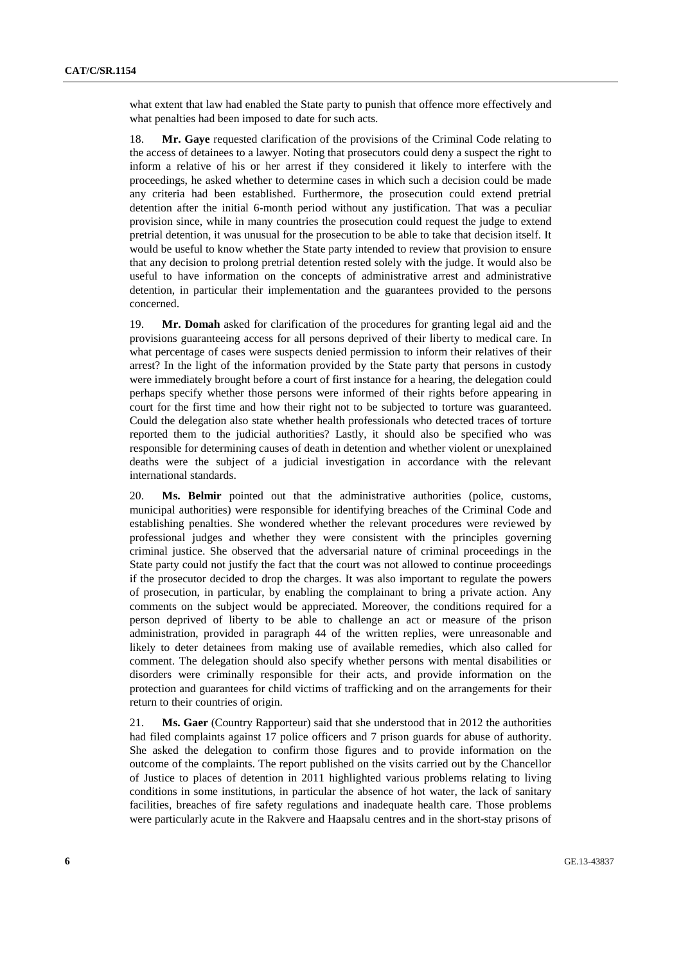what extent that law had enabled the State party to punish that offence more effectively and what penalties had been imposed to date for such acts.

18. **Mr. Gaye** requested clarification of the provisions of the Criminal Code relating to the access of detainees to a lawyer. Noting that prosecutors could deny a suspect the right to inform a relative of his or her arrest if they considered it likely to interfere with the proceedings, he asked whether to determine cases in which such a decision could be made any criteria had been established. Furthermore, the prosecution could extend pretrial detention after the initial 6-month period without any justification. That was a peculiar provision since, while in many countries the prosecution could request the judge to extend pretrial detention, it was unusual for the prosecution to be able to take that decision itself. It would be useful to know whether the State party intended to review that provision to ensure that any decision to prolong pretrial detention rested solely with the judge. It would also be useful to have information on the concepts of administrative arrest and administrative detention, in particular their implementation and the guarantees provided to the persons concerned.

19. **Mr. Domah** asked for clarification of the procedures for granting legal aid and the provisions guaranteeing access for all persons deprived of their liberty to medical care. In what percentage of cases were suspects denied permission to inform their relatives of their arrest? In the light of the information provided by the State party that persons in custody were immediately brought before a court of first instance for a hearing, the delegation could perhaps specify whether those persons were informed of their rights before appearing in court for the first time and how their right not to be subjected to torture was guaranteed. Could the delegation also state whether health professionals who detected traces of torture reported them to the judicial authorities? Lastly, it should also be specified who was responsible for determining causes of death in detention and whether violent or unexplained deaths were the subject of a judicial investigation in accordance with the relevant international standards.

20. **Ms. Belmir** pointed out that the administrative authorities (police, customs, municipal authorities) were responsible for identifying breaches of the Criminal Code and establishing penalties. She wondered whether the relevant procedures were reviewed by professional judges and whether they were consistent with the principles governing criminal justice. She observed that the adversarial nature of criminal proceedings in the State party could not justify the fact that the court was not allowed to continue proceedings if the prosecutor decided to drop the charges. It was also important to regulate the powers of prosecution, in particular, by enabling the complainant to bring a private action. Any comments on the subject would be appreciated. Moreover, the conditions required for a person deprived of liberty to be able to challenge an act or measure of the prison administration, provided in paragraph 44 of the written replies, were unreasonable and likely to deter detainees from making use of available remedies, which also called for comment. The delegation should also specify whether persons with mental disabilities or disorders were criminally responsible for their acts, and provide information on the protection and guarantees for child victims of trafficking and on the arrangements for their return to their countries of origin.

21. **Ms. Gaer** (Country Rapporteur) said that she understood that in 2012 the authorities had filed complaints against 17 police officers and 7 prison guards for abuse of authority. She asked the delegation to confirm those figures and to provide information on the outcome of the complaints. The report published on the visits carried out by the Chancellor of Justice to places of detention in 2011 highlighted various problems relating to living conditions in some institutions, in particular the absence of hot water, the lack of sanitary facilities, breaches of fire safety regulations and inadequate health care. Those problems were particularly acute in the Rakvere and Haapsalu centres and in the short-stay prisons of